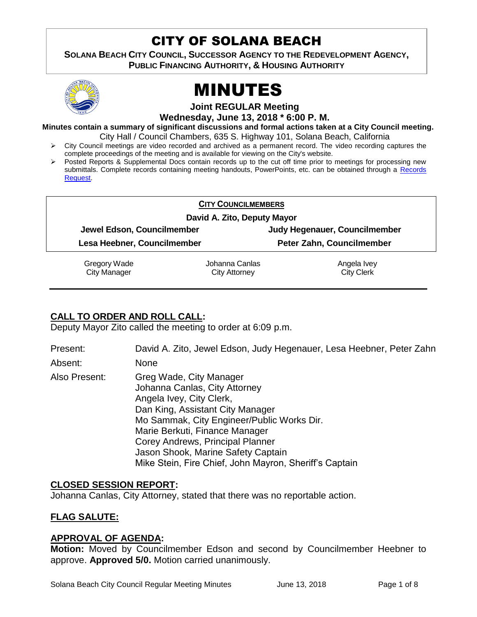# CITY OF SOLANA BEACH

**SOLANA BEACH CITY COUNCIL, SUCCESSOR AGENCY TO THE REDEVELOPMENT AGENCY, PUBLIC FINANCING AUTHORITY, & HOUSING AUTHORITY** 



# MINUTES

**Joint REGULAR Meeting**

**Wednesday, June 13, 2018 \* 6:00 P. M.**

**Minutes contain a summary of significant discussions and formal actions taken at a City Council meeting.** City Hall / Council Chambers, 635 S. Highway 101, Solana Beach, California

- $\triangleright$  City Council meetings are video recorded and archived as a permanent record. The video recording captures the complete proceedings of the meeting and is available for viewing on the City's website.
- Posted Reports & Supplemental Docs contain records up to the cut off time prior to meetings for processing new submittals. Complete records containing meeting handouts, PowerPoints, etc. can be obtained through a [Records](http://www.ci.solana-beach.ca.us/index.asp?SEC=F5D45D10-70CE-4291-A27C-7BD633FC6742&Type=B_BASIC)  [Request.](http://www.ci.solana-beach.ca.us/index.asp?SEC=F5D45D10-70CE-4291-A27C-7BD633FC6742&Type=B_BASIC)

| <b>CITY COUNCILMEMBERS</b> |
|----------------------------|
|----------------------------|

**David A. Zito, Deputy Mayor**

**Jewel Edson, Councilmember Judy Hegenauer, Councilmember**

**Lesa Heebner, Councilmember Peter Zahn, Councilmember**

Gregory Wade City Manager

Johanna Canlas City Attorney

Angela Ivey City Clerk

# **CALL TO ORDER AND ROLL CALL:**

Deputy Mayor Zito called the meeting to order at 6:09 p.m.

Present: David A. Zito, Jewel Edson, Judy Hegenauer, Lesa Heebner, Peter Zahn

Absent: None

Also Present: Greg Wade, City Manager Johanna Canlas, City Attorney Angela Ivey, City Clerk, Dan King, Assistant City Manager Mo Sammak, City Engineer/Public Works Dir. Marie Berkuti, Finance Manager Corey Andrews, Principal Planner Jason Shook, Marine Safety Captain Mike Stein, Fire Chief, John Mayron, Sheriff's Captain

# **CLOSED SESSION REPORT:**

Johanna Canlas, City Attorney, stated that there was no reportable action.

# **FLAG SALUTE:**

# **APPROVAL OF AGENDA:**

**Motion:** Moved by Councilmember Edson and second by Councilmember Heebner to approve. **Approved 5/0.** Motion carried unanimously.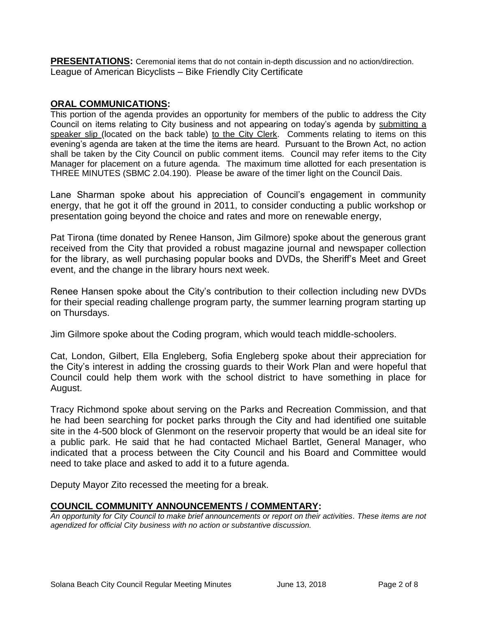**PRESENTATIONS:** Ceremonial items that do not contain in-depth discussion and no action/direction. League of American Bicyclists – Bike Friendly City Certificate

#### **ORAL COMMUNICATIONS:**

This portion of the agenda provides an opportunity for members of the public to address the City Council on items relating to City business and not appearing on today's agenda by submitting a speaker slip (located on the back table) to the City Clerk. Comments relating to items on this evening's agenda are taken at the time the items are heard. Pursuant to the Brown Act, no action shall be taken by the City Council on public comment items. Council may refer items to the City Manager for placement on a future agenda. The maximum time allotted for each presentation is THREE MINUTES (SBMC 2.04.190). Please be aware of the timer light on the Council Dais.

Lane Sharman spoke about his appreciation of Council's engagement in community energy, that he got it off the ground in 2011, to consider conducting a public workshop or presentation going beyond the choice and rates and more on renewable energy,

Pat Tirona (time donated by Renee Hanson, Jim Gilmore) spoke about the generous grant received from the City that provided a robust magazine journal and newspaper collection for the library, as well purchasing popular books and DVDs, the Sheriff's Meet and Greet event, and the change in the library hours next week.

Renee Hansen spoke about the City's contribution to their collection including new DVDs for their special reading challenge program party, the summer learning program starting up on Thursdays.

Jim Gilmore spoke about the Coding program, which would teach middle-schoolers.

Cat, London, Gilbert, Ella Engleberg, Sofia Engleberg spoke about their appreciation for the City's interest in adding the crossing guards to their Work Plan and were hopeful that Council could help them work with the school district to have something in place for August.

Tracy Richmond spoke about serving on the Parks and Recreation Commission, and that he had been searching for pocket parks through the City and had identified one suitable site in the 4-500 block of Glenmont on the reservoir property that would be an ideal site for a public park. He said that he had contacted Michael Bartlet, General Manager, who indicated that a process between the City Council and his Board and Committee would need to take place and asked to add it to a future agenda.

Deputy Mayor Zito recessed the meeting for a break.

#### **COUNCIL COMMUNITY ANNOUNCEMENTS / COMMENTARY:**

*An opportunity for City Council to make brief announcements or report on their activities. These items are not agendized for official City business with no action or substantive discussion.*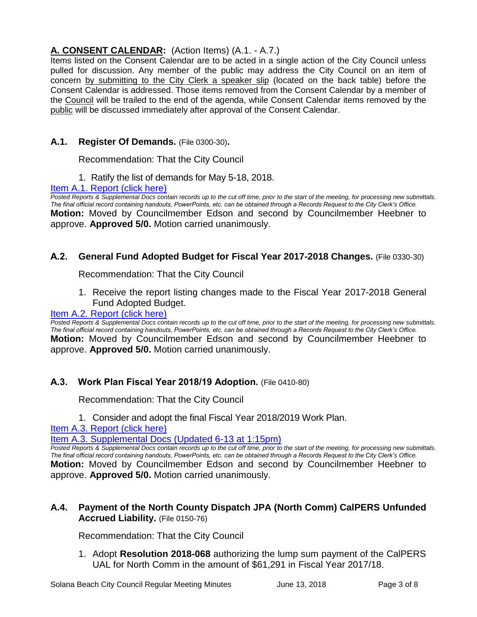# **A. CONSENT CALENDAR:** (Action Items) (A.1. - A.7.)

Items listed on the Consent Calendar are to be acted in a single action of the City Council unless pulled for discussion. Any member of the public may address the City Council on an item of concern by submitting to the City Clerk a speaker slip (located on the back table) before the Consent Calendar is addressed. Those items removed from the Consent Calendar by a member of the Council will be trailed to the end of the agenda, while Consent Calendar items removed by the public will be discussed immediately after approval of the Consent Calendar.

# **A.1. Register Of Demands.** (File 0300-30)**.**

Recommendation: That the City Council

1. Ratify the list of demands for May 5-18, 2018.

#### [Item A.1. Report \(click here\)](https://solanabeach.govoffice3.com/vertical/Sites/%7B840804C2-F869-4904-9AE3-720581350CE7%7D/uploads/Item_A.1._Report_(click_here)_6-13-18.PDF)

*Posted Reports & Supplemental Docs contain records up to the cut off time, prior to the start of the meeting, for processing new submittals. The final official record containing handouts, PowerPoints, etc. can be obtained through a Records Request to the City Clerk's Office.* **Motion:** Moved by Councilmember Edson and second by Councilmember Heebner to approve. **Approved 5/0.** Motion carried unanimously.

# **A.2. General Fund Adopted Budget for Fiscal Year 2017-2018 Changes.** (File 0330-30)

Recommendation: That the City Council

1. Receive the report listing changes made to the Fiscal Year 2017-2018 General Fund Adopted Budget.

#### [Item A.2. Report \(click here\)](https://solanabeach.govoffice3.com/vertical/Sites/%7B840804C2-F869-4904-9AE3-720581350CE7%7D/uploads/Item_A.2._Report_(click_here)_6-13-18.PDF)

*Posted Reports & Supplemental Docs contain records up to the cut off time, prior to the start of the meeting, for processing new submittals. The final official record containing handouts, PowerPoints, etc. can be obtained through a Records Request to the City Clerk's Office.* **Motion:** Moved by Councilmember Edson and second by Councilmember Heebner to approve. **Approved 5/0.** Motion carried unanimously.

# **A.3. Work Plan Fiscal Year 2018/19 Adoption.** (File 0410-80)

Recommendation: That the City Council

1. Consider and adopt the final Fiscal Year 2018/2019 Work Plan.

[Item A.3. Report \(click here\)](https://solanabeach.govoffice3.com/vertical/Sites/%7B840804C2-F869-4904-9AE3-720581350CE7%7D/uploads/Item_A.3._Report_(click_here)_6-13-18.pdf)

[Item A.3. Supplemental Docs \(Updated 6-13 at 1:15pm\)](https://solanabeach.govoffice3.com/vertical/Sites/%7B840804C2-F869-4904-9AE3-720581350CE7%7D/uploads/A.3._Supplemental_Docs_(updated_6-13_at_115pm).pdf) 

*Posted Reports & Supplemental Docs contain records up to the cut off time, prior to the start of the meeting, for processing new submittals. The final official record containing handouts, PowerPoints, etc. can be obtained through a Records Request to the City Clerk's Office.* **Motion:** Moved by Councilmember Edson and second by Councilmember Heebner to approve. **Approved 5/0.** Motion carried unanimously.

## **A.4. Payment of the North County Dispatch JPA (North Comm) CalPERS Unfunded Accrued Liability.** (File 0150-76)

Recommendation: That the City Council

1. Adopt **Resolution 2018-068** authorizing the lump sum payment of the CalPERS UAL for North Comm in the amount of \$61,291 in Fiscal Year 2017/18.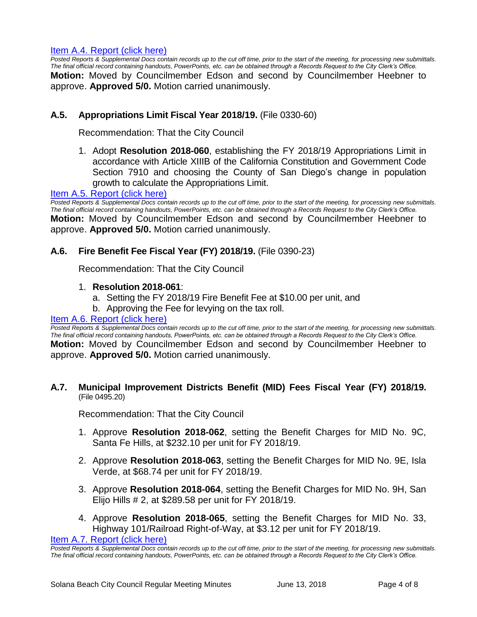#### [Item A.4. Report \(click here\)](https://solanabeach.govoffice3.com/vertical/Sites/%7B840804C2-F869-4904-9AE3-720581350CE7%7D/uploads/Item_A.4._Report_(click_here)_6-13-18.pdf)

*Posted Reports & Supplemental Docs contain records up to the cut off time, prior to the start of the meeting, for processing new submittals. The final official record containing handouts, PowerPoints, etc. can be obtained through a Records Request to the City Clerk's Office.*

**Motion:** Moved by Councilmember Edson and second by Councilmember Heebner to approve. **Approved 5/0.** Motion carried unanimously.

#### **A.5. Appropriations Limit Fiscal Year 2018/19.** (File 0330-60)

Recommendation: That the City Council

1. Adopt **Resolution 2018-060**, establishing the FY 2018/19 Appropriations Limit in accordance with Article XIIIB of the California Constitution and Government Code Section 7910 and choosing the County of San Diego's change in population growth to calculate the Appropriations Limit.

#### [Item A.5. Report \(click](https://solanabeach.govoffice3.com/vertical/Sites/%7B840804C2-F869-4904-9AE3-720581350CE7%7D/uploads/Item_A.5._Report_(click_here)_6-13-18.PDF) here)

*Posted Reports & Supplemental Docs contain records up to the cut off time, prior to the start of the meeting, for processing new submittals. The final official record containing handouts, PowerPoints, etc. can be obtained through a Records Request to the City Clerk's Office.* **Motion:** Moved by Councilmember Edson and second by Councilmember Heebner to approve. **Approved 5/0.** Motion carried unanimously.

#### **A.6. Fire Benefit Fee Fiscal Year (FY) 2018/19.** (File 0390-23)

Recommendation: That the City Council

- 1. **Resolution 2018-061**:
	- a. Setting the FY 2018/19 Fire Benefit Fee at \$10.00 per unit, and
	- b. Approving the Fee for levying on the tax roll.

#### [Item A.6. Report \(click here\)](https://solanabeach.govoffice3.com/vertical/Sites/%7B840804C2-F869-4904-9AE3-720581350CE7%7D/uploads/Item_A.6._Report_(click_here)_6-13-18.PDF)

*Posted Reports & Supplemental Docs contain records up to the cut off time, prior to the start of the meeting, for processing new submittals. The final official record containing handouts, PowerPoints, etc. can be obtained through a Records Request to the City Clerk's Office.* **Motion:** Moved by Councilmember Edson and second by Councilmember Heebner to approve. **Approved 5/0.** Motion carried unanimously.

#### **A.7. Municipal Improvement Districts Benefit (MID) Fees Fiscal Year (FY) 2018/19.** (File 0495.20)

Recommendation: That the City Council

- 1. Approve **Resolution 2018-062**, setting the Benefit Charges for MID No. 9C, Santa Fe Hills, at \$232.10 per unit for FY 2018/19.
- 2. Approve **Resolution 2018-063**, setting the Benefit Charges for MID No. 9E, Isla Verde, at \$68.74 per unit for FY 2018/19.
- 3. Approve **Resolution 2018-064**, setting the Benefit Charges for MID No. 9H, San Elijo Hills # 2, at \$289.58 per unit for FY 2018/19.
- 4. Approve **Resolution 2018-065**, setting the Benefit Charges for MID No. 33, Highway 101/Railroad Right-of-Way, at \$3.12 per unit for FY 2018/19.

[Item A.7. Report \(click here\)](https://solanabeach.govoffice3.com/vertical/Sites/%7B840804C2-F869-4904-9AE3-720581350CE7%7D/uploads/Item_A.7._Report_(click_here)_6-13-18.PDF)

*Posted Reports & Supplemental Docs contain records up to the cut off time, prior to the start of the meeting, for processing new submittals. The final official record containing handouts, PowerPoints, etc. can be obtained through a Records Request to the City Clerk's Office.*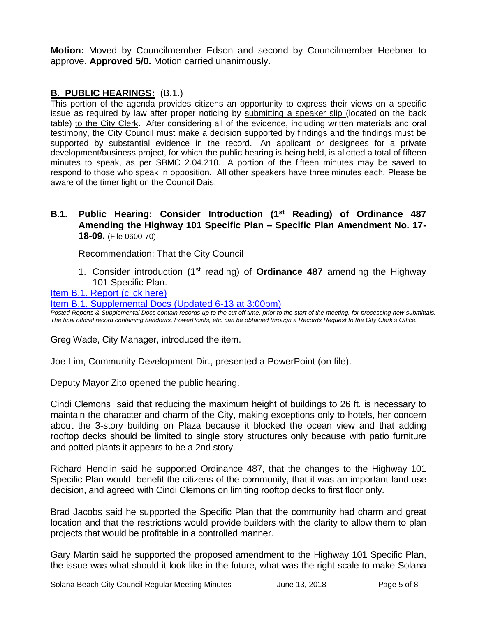**Motion:** Moved by Councilmember Edson and second by Councilmember Heebner to approve. **Approved 5/0.** Motion carried unanimously.

# **B. PUBLIC HEARINGS:** (B.1.)

This portion of the agenda provides citizens an opportunity to express their views on a specific issue as required by law after proper noticing by submitting a speaker slip (located on the back table) to the City Clerk. After considering all of the evidence, including written materials and oral testimony, the City Council must make a decision supported by findings and the findings must be supported by substantial evidence in the record. An applicant or designees for a private development/business project, for which the public hearing is being held, is allotted a total of fifteen minutes to speak, as per SBMC 2.04.210. A portion of the fifteen minutes may be saved to respond to those who speak in opposition. All other speakers have three minutes each. Please be aware of the timer light on the Council Dais.

#### **B.1. Public Hearing: Consider Introduction (1st Reading) of Ordinance 487 Amending the Highway 101 Specific Plan – Specific Plan Amendment No. 17- 18-09.** (File 0600-70)

Recommendation: That the City Council

1. Consider introduction (1<sup>st</sup> reading) of **Ordinance 487** amending the Highway 101 Specific Plan.

## [Item B.1. Report \(click here\)](https://solanabeach.govoffice3.com/vertical/Sites/%7B840804C2-F869-4904-9AE3-720581350CE7%7D/uploads/Item_B.1._Report_(click_here)_6-13-18.PDF)

[Item B.1. Supplemental Docs \(Updated 6-13 at 3:00pm\)](https://solanabeach.govoffice3.com/vertical/Sites/%7B840804C2-F869-4904-9AE3-720581350CE7%7D/uploads/B.1._Supplemental_Docs_(Updated_6-13_at_300pm).pdf)

*Posted Reports & Supplemental Docs contain records up to the cut off time, prior to the start of the meeting, for processing new submittals. The final official record containing handouts, PowerPoints, etc. can be obtained through a Records Request to the City Clerk's Office.*

Greg Wade, City Manager, introduced the item.

Joe Lim, Community Development Dir., presented a PowerPoint (on file).

Deputy Mayor Zito opened the public hearing.

Cindi Clemons said that reducing the maximum height of buildings to 26 ft. is necessary to maintain the character and charm of the City, making exceptions only to hotels, her concern about the 3-story building on Plaza because it blocked the ocean view and that adding rooftop decks should be limited to single story structures only because with patio furniture and potted plants it appears to be a 2nd story.

Richard Hendlin said he supported Ordinance 487, that the changes to the Highway 101 Specific Plan would benefit the citizens of the community, that it was an important land use decision, and agreed with Cindi Clemons on limiting rooftop decks to first floor only.

Brad Jacobs said he supported the Specific Plan that the community had charm and great location and that the restrictions would provide builders with the clarity to allow them to plan projects that would be profitable in a controlled manner.

Gary Martin said he supported the proposed amendment to the Highway 101 Specific Plan, the issue was what should it look like in the future, what was the right scale to make Solana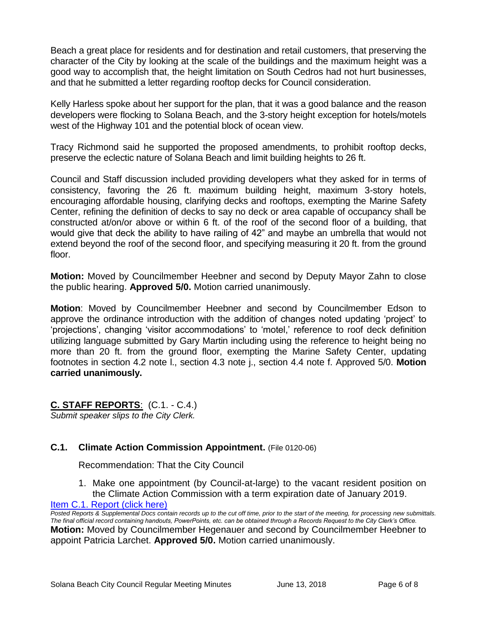Beach a great place for residents and for destination and retail customers, that preserving the character of the City by looking at the scale of the buildings and the maximum height was a good way to accomplish that, the height limitation on South Cedros had not hurt businesses, and that he submitted a letter regarding rooftop decks for Council consideration.

Kelly Harless spoke about her support for the plan, that it was a good balance and the reason developers were flocking to Solana Beach, and the 3-story height exception for hotels/motels west of the Highway 101 and the potential block of ocean view.

Tracy Richmond said he supported the proposed amendments, to prohibit rooftop decks, preserve the eclectic nature of Solana Beach and limit building heights to 26 ft.

Council and Staff discussion included providing developers what they asked for in terms of consistency, favoring the 26 ft. maximum building height, maximum 3-story hotels, encouraging affordable housing, clarifying decks and rooftops, exempting the Marine Safety Center, refining the definition of decks to say no deck or area capable of occupancy shall be constructed at/on/or above or within 6 ft. of the roof of the second floor of a building, that would give that deck the ability to have railing of 42" and maybe an umbrella that would not extend beyond the roof of the second floor, and specifying measuring it 20 ft. from the ground floor.

**Motion:** Moved by Councilmember Heebner and second by Deputy Mayor Zahn to close the public hearing. **Approved 5/0.** Motion carried unanimously.

**Motion**: Moved by Councilmember Heebner and second by Councilmember Edson to approve the ordinance introduction with the addition of changes noted updating 'project' to 'projections', changing 'visitor accommodations' to 'motel,' reference to roof deck definition utilizing language submitted by Gary Martin including using the reference to height being no more than 20 ft. from the ground floor, exempting the Marine Safety Center, updating footnotes in section 4.2 note l., section 4.3 note j., section 4.4 note f. Approved 5/0. **Motion carried unanimously.**

**C. STAFF REPORTS**: (C.1. - C.4.) *Submit speaker slips to the City Clerk.*

# **C.1. Climate Action Commission Appointment.** (File 0120-06)

Recommendation: That the City Council

1. Make one appointment (by Council-at-large) to the vacant resident position on the Climate Action Commission with a term expiration date of January 2019.

[Item C.1. Report \(click here\)](https://solanabeach.govoffice3.com/vertical/Sites/%7B840804C2-F869-4904-9AE3-720581350CE7%7D/uploads/Item_C.1._Report_(click_here)_6-13-18.PDF)

*Posted Reports & Supplemental Docs contain records up to the cut off time, prior to the start of the meeting, for processing new submittals. The final official record containing handouts, PowerPoints, etc. can be obtained through a Records Request to the City Clerk's Office.* **Motion:** Moved by Councilmember Hegenauer and second by Councilmember Heebner to appoint Patricia Larchet. **Approved 5/0.** Motion carried unanimously.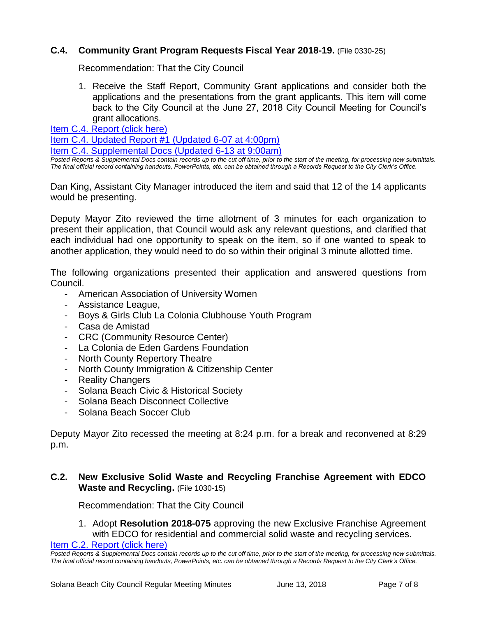# **C.4. Community Grant Program Requests Fiscal Year 2018-19.** (File 0330-25)

Recommendation: That the City Council

1. Receive the Staff Report, Community Grant applications and consider both the applications and the presentations from the grant applicants. This item will come back to the City Council at the June 27, 2018 City Council Meeting for Council's grant allocations.

[Item C.4. Report \(click here\)](https://solanabeach.govoffice3.com/vertical/Sites/%7B840804C2-F869-4904-9AE3-720581350CE7%7D/uploads/Item_C.4._Report_(click_here)_6-13-18.PDF)

[Item C.4. Updated Report #1 \(Updated 6-07 at 4:00pm\)](https://solanabeach.govoffice3.com/vertical/Sites/%7B840804C2-F869-4904-9AE3-720581350CE7%7D/uploads/C.4._Updated_Report_1_-_6-13-18.pdf)

[Item C.4. Supplemental Docs \(Updated 6-13 at 9:00am\)](https://solanabeach.govoffice3.com/vertical/Sites/%7B840804C2-F869-4904-9AE3-720581350CE7%7D/uploads/C.4._Supplemental_Docs_(updated_6-13_9am).pdf)

*Posted Reports & Supplemental Docs contain records up to the cut off time, prior to the start of the meeting, for processing new submittals. The final official record containing handouts, PowerPoints, etc. can be obtained through a Records Request to the City Clerk's Office.*

Dan King, Assistant City Manager introduced the item and said that 12 of the 14 applicants would be presenting.

Deputy Mayor Zito reviewed the time allotment of 3 minutes for each organization to present their application, that Council would ask any relevant questions, and clarified that each individual had one opportunity to speak on the item, so if one wanted to speak to another application, they would need to do so within their original 3 minute allotted time.

The following organizations presented their application and answered questions from Council.

- American Association of University Women
- Assistance League,
- Boys & Girls Club La Colonia Clubhouse Youth Program
- Casa de Amistad
- CRC (Community Resource Center)
- La Colonia de Eden Gardens Foundation
- North County Repertory Theatre
- North County Immigration & Citizenship Center
- Reality Changers
- Solana Beach Civic & Historical Society
- Solana Beach Disconnect Collective
- Solana Beach Soccer Club

Deputy Mayor Zito recessed the meeting at 8:24 p.m. for a break and reconvened at 8:29 p.m.

#### **C.2. New Exclusive Solid Waste and Recycling Franchise Agreement with EDCO Waste and Recycling.** (File 1030-15)

Recommendation: That the City Council

1. Adopt **Resolution 2018-075** approving the new Exclusive Franchise Agreement with EDCO for residential and commercial solid waste and recycling services.

[Item C.2. Report \(click here\)](https://solanabeach.govoffice3.com/vertical/Sites/%7B840804C2-F869-4904-9AE3-720581350CE7%7D/uploads/Item_C.2._Report_(click_here)_6-13-18.PDF)

*Posted Reports & Supplemental Docs contain records up to the cut off time, prior to the start of the meeting, for processing new submittals. The final official record containing handouts, PowerPoints, etc. can be obtained through a Records Request to the City Clerk's Office.*